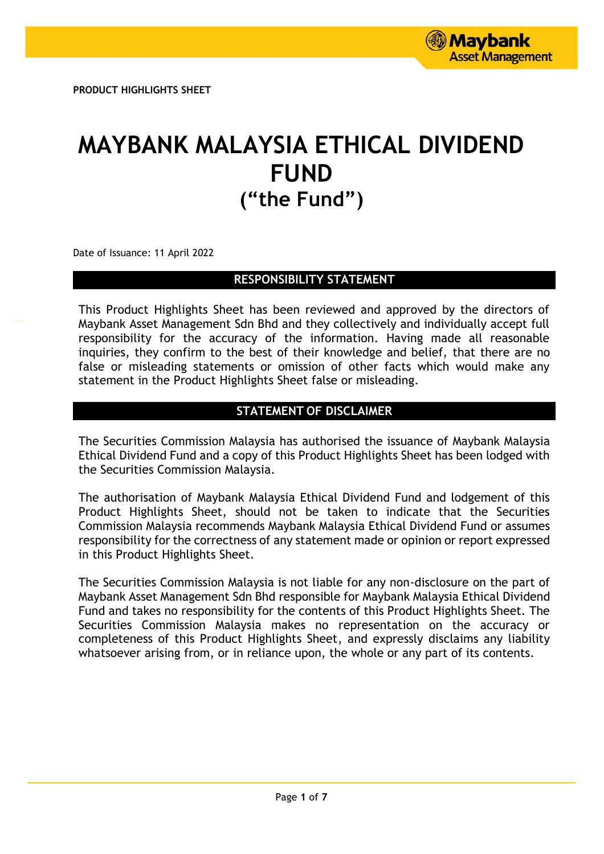**PRODUCT HIGHLIGHTS SHEET**

# **MAYBANK MALAYSIA ETHICAL DIVIDEND FUND ("the Fund")**

Date of Issuance: 11 April 2022

# **RESPONSIBILITY STATEMENT**

This Product Highlights Sheet has been reviewed and approved by the directors of Maybank Asset Management Sdn Bhd and they collectively and individually accept full responsibility for the accuracy of the information. Having made all reasonable inquiries, they confirm to the best of their knowledge and belief, that there are no false or misleading statements or omission of other facts which would make any statement in the Product Highlights Sheet false or misleading.

# **STATEMENT OF DISCLAIMER**

The Securities Commission Malaysia has authorised the issuance of Maybank Malaysia Ethical Dividend Fund and a copy of this Product Highlights Sheet has been lodged with the Securities Commission Malaysia.

The authorisation of Maybank Malaysia Ethical Dividend Fund and lodgement of this Product Highlights Sheet, should not be taken to indicate that the Securities Commission Malaysia recommends Maybank Malaysia Ethical Dividend Fund or assumes responsibility for the correctness of any statement made or opinion or report expressed in this Product Highlights Sheet.

The Securities Commission Malaysia is not liable for any non-disclosure on the part of Maybank Asset Management Sdn Bhd responsible for Maybank Malaysia Ethical Dividend Fund and takes no responsibility for the contents of this Product Highlights Sheet. The Securities Commission Malaysia makes no representation on the accuracy or completeness of this Product Highlights Sheet, and expressly disclaims any liability whatsoever arising from, or in reliance upon, the whole or any part of its contents.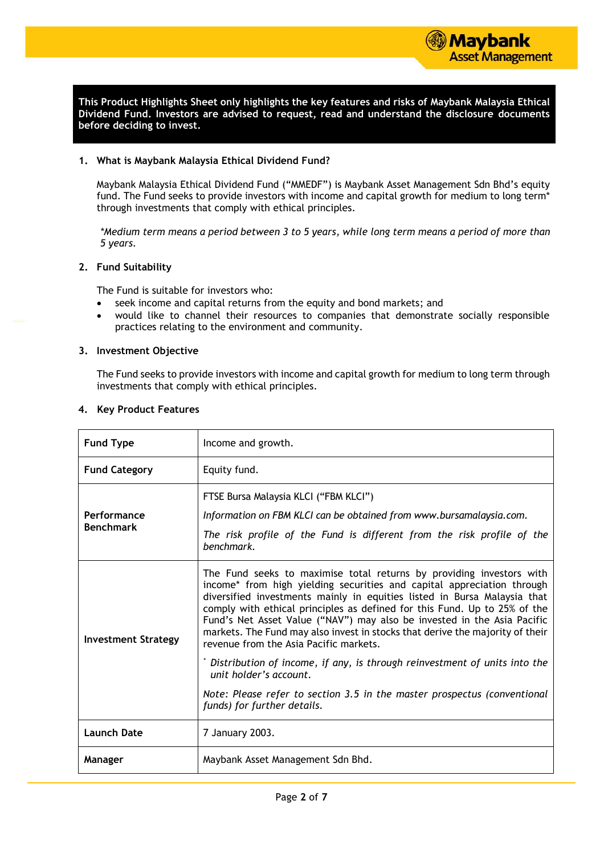

**This Product Highlights Sheet only highlights the key features and risks of Maybank Malaysia Ethical Dividend Fund. Investors are advised to request, read and understand the disclosure documents before deciding to invest.**

#### **1. What is Maybank Malaysia Ethical Dividend Fund?**

Maybank Malaysia Ethical Dividend Fund ("MMEDF") is Maybank Asset Management Sdn Bhd's equity fund. The Fund seeks to provide investors with income and capital growth for medium to long term\* through investments that comply with ethical principles.

*\*Medium term means a period between 3 to 5 years, while long term means a period of more than 5 years.*

#### **2. Fund Suitability**

The Fund is suitable for investors who:

- seek income and capital returns from the equity and bond markets; and
- would like to channel their resources to companies that demonstrate socially responsible practices relating to the environment and community.

#### **3. Investment Objective**

The Fund seeks to provide investors with income and capital growth for medium to long term through investments that comply with ethical principles.

| <b>Fund Type</b>                | Income and growth.                                                                                                                                                                                                                                                                                                                                                                                                                                                                                            |  |  |
|---------------------------------|---------------------------------------------------------------------------------------------------------------------------------------------------------------------------------------------------------------------------------------------------------------------------------------------------------------------------------------------------------------------------------------------------------------------------------------------------------------------------------------------------------------|--|--|
| <b>Fund Category</b>            | Equity fund.                                                                                                                                                                                                                                                                                                                                                                                                                                                                                                  |  |  |
| Performance<br><b>Benchmark</b> | FTSE Bursa Malaysia KLCI ("FBM KLCI")<br>Information on FBM KLCI can be obtained from www.bursamalaysia.com.<br>The risk profile of the Fund is different from the risk profile of the<br>benchmark.                                                                                                                                                                                                                                                                                                          |  |  |
| <b>Investment Strategy</b>      | The Fund seeks to maximise total returns by providing investors with<br>income* from high yielding securities and capital appreciation through<br>diversified investments mainly in equities listed in Bursa Malaysia that<br>comply with ethical principles as defined for this Fund. Up to 25% of the<br>Fund's Net Asset Value ("NAV") may also be invested in the Asia Pacific<br>markets. The Fund may also invest in stocks that derive the majority of their<br>revenue from the Asia Pacific markets. |  |  |
|                                 | Distribution of income, if any, is through reinvestment of units into the<br>unit holder's account.                                                                                                                                                                                                                                                                                                                                                                                                           |  |  |
|                                 | Note: Please refer to section 3.5 in the master prospectus (conventional<br>funds) for further details.                                                                                                                                                                                                                                                                                                                                                                                                       |  |  |
| <b>Launch Date</b>              | 7 January 2003.                                                                                                                                                                                                                                                                                                                                                                                                                                                                                               |  |  |
| Manager                         | Maybank Asset Management Sdn Bhd.                                                                                                                                                                                                                                                                                                                                                                                                                                                                             |  |  |

#### **4. Key Product Features**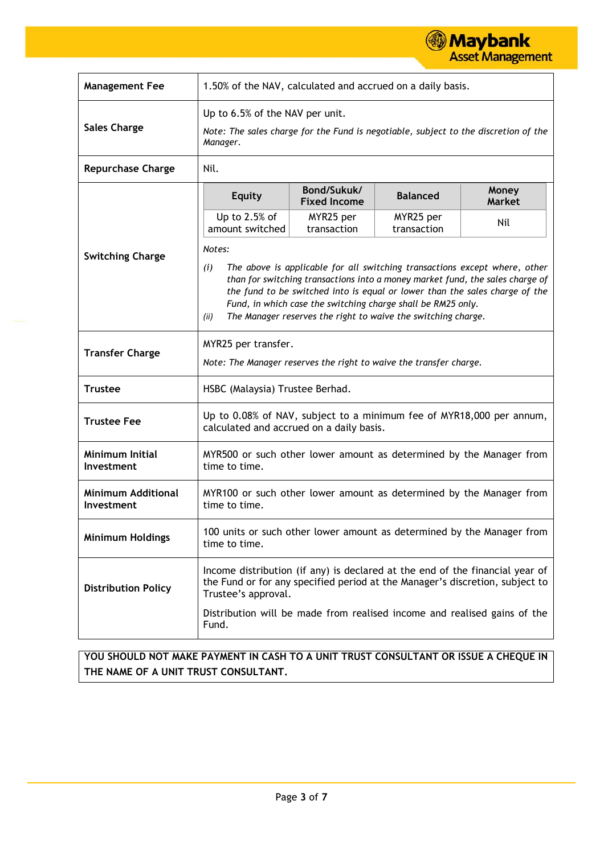

| <b>Management Fee</b>                   | 1.50% of the NAV, calculated and accrued on a daily basis.                                                                                                                                                                                                                                                                                                                                           |                                    |                          |                        |  |  |
|-----------------------------------------|------------------------------------------------------------------------------------------------------------------------------------------------------------------------------------------------------------------------------------------------------------------------------------------------------------------------------------------------------------------------------------------------------|------------------------------------|--------------------------|------------------------|--|--|
| <b>Sales Charge</b>                     | Up to 6.5% of the NAV per unit.<br>Note: The sales charge for the Fund is negotiable, subject to the discretion of the<br>Manager.                                                                                                                                                                                                                                                                   |                                    |                          |                        |  |  |
| <b>Repurchase Charge</b>                | Nil.                                                                                                                                                                                                                                                                                                                                                                                                 |                                    |                          |                        |  |  |
|                                         | <b>Equity</b>                                                                                                                                                                                                                                                                                                                                                                                        | Bond/Sukuk/<br><b>Fixed Income</b> | <b>Balanced</b>          | Money<br><b>Market</b> |  |  |
|                                         | Up to $2.5%$ of<br>amount switched                                                                                                                                                                                                                                                                                                                                                                   | MYR25 per<br>transaction           | MYR25 per<br>transaction | Nil                    |  |  |
| <b>Switching Charge</b>                 | Notes:<br>The above is applicable for all switching transactions except where, other<br>(i)<br>than for switching transactions into a money market fund, the sales charge of<br>the fund to be switched into is equal or lower than the sales charge of the<br>Fund, in which case the switching charge shall be RM25 only.<br>The Manager reserves the right to waive the switching charge.<br>(ii) |                                    |                          |                        |  |  |
| <b>Transfer Charge</b>                  | MYR25 per transfer.<br>Note: The Manager reserves the right to waive the transfer charge.                                                                                                                                                                                                                                                                                                            |                                    |                          |                        |  |  |
| <b>Trustee</b>                          | HSBC (Malaysia) Trustee Berhad.                                                                                                                                                                                                                                                                                                                                                                      |                                    |                          |                        |  |  |
| <b>Trustee Fee</b>                      | Up to 0.08% of NAV, subject to a minimum fee of MYR18,000 per annum,<br>calculated and accrued on a daily basis.                                                                                                                                                                                                                                                                                     |                                    |                          |                        |  |  |
| Minimum Initial<br>Investment           | MYR500 or such other lower amount as determined by the Manager from<br>time to time.                                                                                                                                                                                                                                                                                                                 |                                    |                          |                        |  |  |
| <b>Minimum Additional</b><br>Investment | MYR100 or such other lower amount as determined by the Manager from<br>time to time.                                                                                                                                                                                                                                                                                                                 |                                    |                          |                        |  |  |
| <b>Minimum Holdings</b>                 | 100 units or such other lower amount as determined by the Manager from<br>time to time.                                                                                                                                                                                                                                                                                                              |                                    |                          |                        |  |  |
| <b>Distribution Policy</b>              | Income distribution (if any) is declared at the end of the financial year of<br>the Fund or for any specified period at the Manager's discretion, subject to<br>Trustee's approval.                                                                                                                                                                                                                  |                                    |                          |                        |  |  |
|                                         | Distribution will be made from realised income and realised gains of the<br>Fund.                                                                                                                                                                                                                                                                                                                    |                                    |                          |                        |  |  |

**YOU SHOULD NOT MAKE PAYMENT IN CASH TO A UNIT TRUST CONSULTANT OR ISSUE A CHEQUE IN THE NAME OF A UNIT TRUST CONSULTANT.**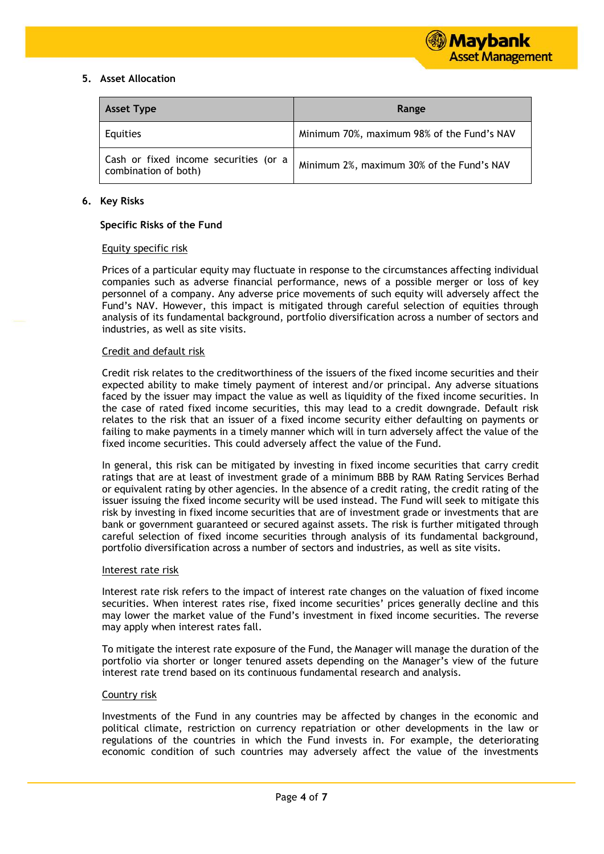## **5. Asset Allocation**

| <b>Asset Type</b>                                             | Range                                      |  |  |
|---------------------------------------------------------------|--------------------------------------------|--|--|
| Equities                                                      | Minimum 70%, maximum 98% of the Fund's NAV |  |  |
| Cash or fixed income securities (or a<br>combination of both) | Minimum 2%, maximum 30% of the Fund's NAV  |  |  |

#### **6. Key Risks**

#### **Specific Risks of the Fund**

#### Equity specific risk

Prices of a particular equity may fluctuate in response to the circumstances affecting individual companies such as adverse financial performance, news of a possible merger or loss of key personnel of a company. Any adverse price movements of such equity will adversely affect the Fund's NAV. However, this impact is mitigated through careful selection of equities through analysis of its fundamental background, portfolio diversification across a number of sectors and industries, as well as site visits.

# Credit and default risk

Credit risk relates to the creditworthiness of the issuers of the fixed income securities and their expected ability to make timely payment of interest and/or principal. Any adverse situations faced by the issuer may impact the value as well as liquidity of the fixed income securities. In the case of rated fixed income securities, this may lead to a credit downgrade. Default risk relates to the risk that an issuer of a fixed income security either defaulting on payments or failing to make payments in a timely manner which will in turn adversely affect the value of the fixed income securities. This could adversely affect the value of the Fund.

In general, this risk can be mitigated by investing in fixed income securities that carry credit ratings that are at least of investment grade of a minimum BBB by RAM Rating Services Berhad or equivalent rating by other agencies. In the absence of a credit rating, the credit rating of the issuer issuing the fixed income security will be used instead. The Fund will seek to mitigate this risk by investing in fixed income securities that are of investment grade or investments that are bank or government guaranteed or secured against assets. The risk is further mitigated through careful selection of fixed income securities through analysis of its fundamental background, portfolio diversification across a number of sectors and industries, as well as site visits.

#### Interest rate risk

Interest rate risk refers to the impact of interest rate changes on the valuation of fixed income securities. When interest rates rise, fixed income securities' prices generally decline and this may lower the market value of the Fund's investment in fixed income securities. The reverse may apply when interest rates fall.

To mitigate the interest rate exposure of the Fund, the Manager will manage the duration of the portfolio via shorter or longer tenured assets depending on the Manager's view of the future interest rate trend based on its continuous fundamental research and analysis.

#### Country risk

Investments of the Fund in any countries may be affected by changes in the economic and political climate, restriction on currency repatriation or other developments in the law or regulations of the countries in which the Fund invests in. For example, the deteriorating economic condition of such countries may adversely affect the value of the investments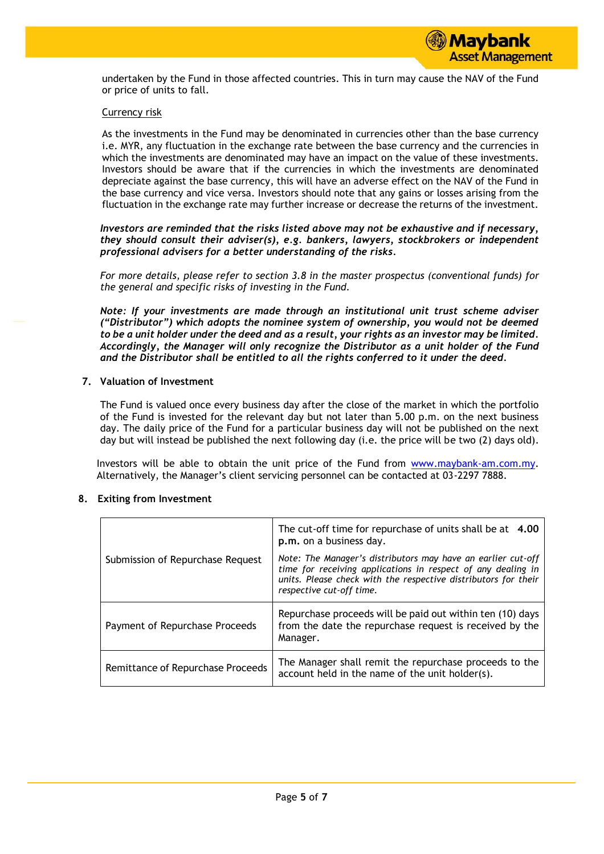

undertaken by the Fund in those affected countries. This in turn may cause the NAV of the Fund or price of units to fall.

#### Currency risk

As the investments in the Fund may be denominated in currencies other than the base currency i.e. MYR, any fluctuation in the exchange rate between the base currency and the currencies in which the investments are denominated may have an impact on the value of these investments. Investors should be aware that if the currencies in which the investments are denominated depreciate against the base currency, this will have an adverse effect on the NAV of the Fund in the base currency and vice versa. Investors should note that any gains or losses arising from the fluctuation in the exchange rate may further increase or decrease the returns of the investment.

*Investors are reminded that the risks listed above may not be exhaustive and if necessary, they should consult their adviser(s), e.g. bankers, lawyers, stockbrokers or independent professional advisers for a better understanding of the risks.*

*For more details, please refer to section 3.8 in the master prospectus (conventional funds) for the general and specific risks of investing in the Fund.*

*Note: If your investments are made through an institutional unit trust scheme adviser ("Distributor") which adopts the nominee system of ownership, you would not be deemed to be a unit holder under the deed and as a result, your rights as an investor may be limited. Accordingly, the Manager will only recognize the Distributor as a unit holder of the Fund and the Distributor shall be entitled to all the rights conferred to it under the deed.*

#### **7. Valuation of Investment**

The Fund is valued once every business day after the close of the market in which the portfolio of the Fund is invested for the relevant day but not later than 5.00 p.m. on the next business day. The daily price of the Fund for a particular business day will not be published on the next day but will instead be published the next following day (i.e. the price will be two (2) days old).

Investors will be able to obtain the unit price of the Fund from [www.maybank-am.com.](http://www.maybank-am.com/)my. Alternatively, the Manager's client servicing personnel can be contacted at 03-2297 7888.

#### **8. Exiting from Investment**

|                                   | The cut-off time for repurchase of units shall be at 4.00<br>p.m. on a business day.                                                                                                                                       |  |  |
|-----------------------------------|----------------------------------------------------------------------------------------------------------------------------------------------------------------------------------------------------------------------------|--|--|
| Submission of Repurchase Request  | Note: The Manager's distributors may have an earlier cut-off<br>time for receiving applications in respect of any dealing in<br>units. Please check with the respective distributors for their<br>respective cut-off time. |  |  |
| Payment of Repurchase Proceeds    | Repurchase proceeds will be paid out within ten (10) days<br>from the date the repurchase request is received by the<br>Manager.                                                                                           |  |  |
| Remittance of Repurchase Proceeds | The Manager shall remit the repurchase proceeds to the<br>account held in the name of the unit holder(s).                                                                                                                  |  |  |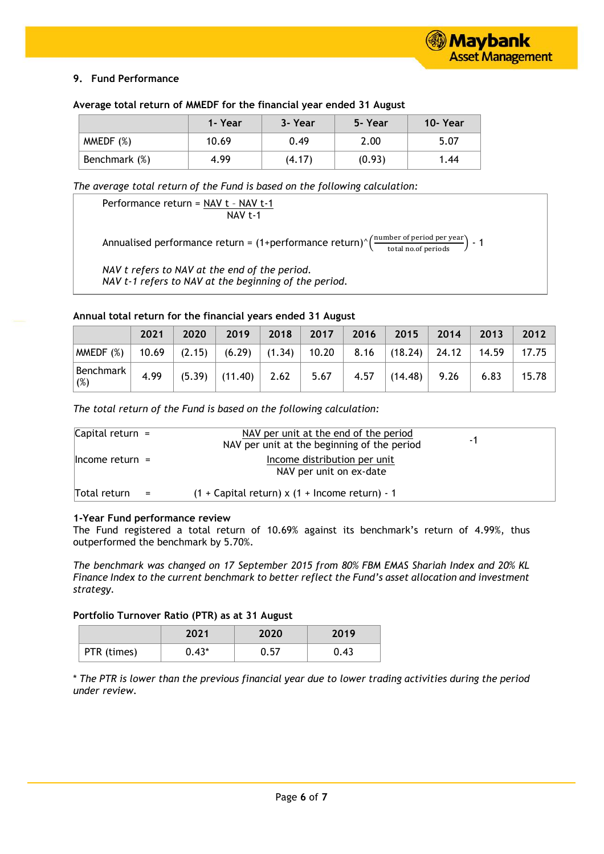# **9. Fund Performance**

#### **Average total return of MMEDF for the financial year ended 31 August**

|               | 1- Year | 3- Year | 5-Year | 10-Year |
|---------------|---------|---------|--------|---------|
| MMEDF(%)      | 10.69   | 0.49    | 2.00   | 5.07    |
| Benchmark (%) | 4.99    | (4.17)  | (0.93) | 1.44    |

*The average total return of the Fund is based on the following calculation:*

Performance return = NAV t – NAV t-1 NAV t-1

Annualised performance return = (1+performance return)^ $\left(\frac{\text{number of period per year}}{\text{total no.of periods}}\right)$  - 1

*NAV t refers to NAV at the end of the period. NAV t-1 refers to NAV at the beginning of the period.*

#### **Annual total return for the financial years ended 31 August**

|                  | 2021 | 2020   | 2019                                   | 2018 | $\sqrt{2017}$ | 2016 | 2015                             | 2014 | $\vert$ 2013 | 2012  |
|------------------|------|--------|----------------------------------------|------|---------------|------|----------------------------------|------|--------------|-------|
| MMEDF $(%)$      |      |        | 10.69   $(2.15)$   $(6.29)$   $(1.34)$ |      | $\vert$ 10.20 |      | $8.16$ $(18.24)$ $24.12$ $14.59$ |      |              | 17.75 |
| Benchmark<br>(%) | 4.99 | (5.39) | $\vert$ (11.40) 2.62 $\vert$           |      | 5.67          | 4.57 | (14.48)                          |      | 6.83         | 15.78 |

*The total return of the Fund is based on the following calculation:*

| Capital return $=$  | NAV per unit at the end of the period<br>- 1<br>NAV per unit at the beginning of the period |  |
|---------------------|---------------------------------------------------------------------------------------------|--|
| $l$ Income return = | Income distribution per unit<br>NAV per unit on ex-date                                     |  |
| Total return<br>$=$ | $(1 +$ Capital return) x $(1 +$ Income return) - 1                                          |  |

#### **1-Year Fund performance review**

The Fund registered a total return of 10.69% against its benchmark's return of 4.99%, thus outperformed the benchmark by 5.70%.

*The benchmark was changed on 17 September 2015 from 80% FBM EMAS Shariah Index and 20% KL Finance Index to the current benchmark to better reflect the Fund's asset allocation and investment strategy.*

## **Portfolio Turnover Ratio (PTR) as at 31 August**

|             | 2021    | 2020  | 2019 |
|-------------|---------|-------|------|
| PTR (times) | $0.43*$ | .57 ل | 0.43 |

\* *The PTR is lower than the previous financial year due to lower trading activities during the period under review.*